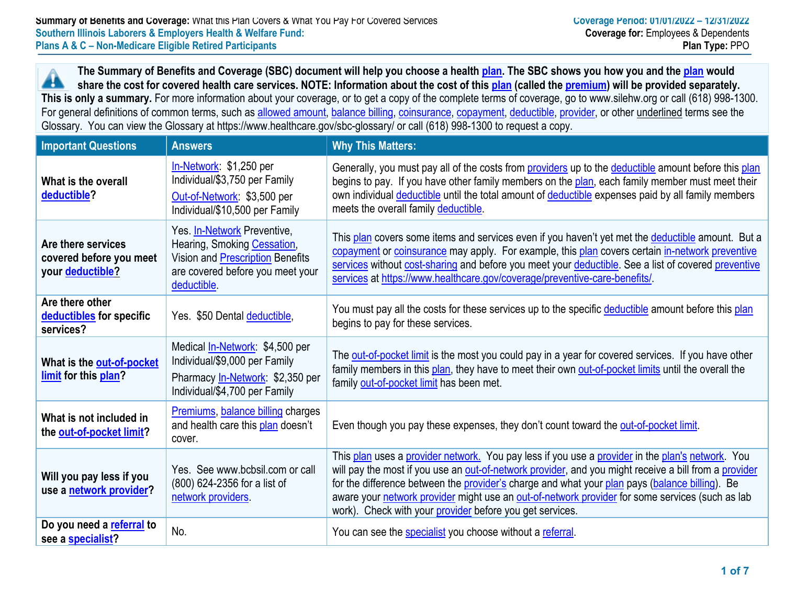**The Summary of Benefits and Coverage (SBC) document will help you choose a health plan. The SBC shows you how you and the plan would** 44 **share the cost for covered health care services. NOTE: Information about the cost of this plan (called the premium) will be provided separately. This is only a summary.** For more information about your coverage, or to get a copy of the complete terms of coverage, go to www.silehw.org or call (618) 998-1300. For general definitions of common terms, such as allowed amount, balance billing, coinsurance, copayment, deductible, provider, or other underlined terms see the Glossary. You can view the Glossary at https://www.healthcare.gov/sbc-glossary/ or call (618) 998-1300 to request a copy.

| <b>Important Questions</b>                                               | <b>Answers</b>                                                                                                                                           | <b>Why This Matters:</b>                                                                                                                                                                                                                                                                                                                                                                                                                                                   |
|--------------------------------------------------------------------------|----------------------------------------------------------------------------------------------------------------------------------------------------------|----------------------------------------------------------------------------------------------------------------------------------------------------------------------------------------------------------------------------------------------------------------------------------------------------------------------------------------------------------------------------------------------------------------------------------------------------------------------------|
| What is the overall<br>deductible?                                       | In-Network: \$1,250 per<br>Individual/\$3,750 per Family<br>Out-of-Network: \$3,500 per<br>Individual/\$10,500 per Family                                | Generally, you must pay all of the costs from providers up to the deductible amount before this plan<br>begins to pay. If you have other family members on the plan, each family member must meet their<br>own individual deductible until the total amount of deductible expenses paid by all family members<br>meets the overall family deductible.                                                                                                                      |
| Are there services<br>covered before you meet<br>your <b>deductible?</b> | Yes. In-Network Preventive,<br>Hearing, Smoking Cessation,<br><b>Vision and Prescription Benefits</b><br>are covered before you meet your<br>deductible. | This plan covers some items and services even if you haven't yet met the deductible amount. But a<br>copayment or coinsurance may apply. For example, this plan covers certain in-network preventive<br>services without cost-sharing and before you meet your deductible. See a list of covered preventive<br>services at https://www.healthcare.gov/coverage/preventive-care-benefits/                                                                                   |
| Are there other<br>deductibles for specific<br>services?                 | Yes. \$50 Dental deductible,                                                                                                                             | You must pay all the costs for these services up to the specific deductible amount before this plan<br>begins to pay for these services.                                                                                                                                                                                                                                                                                                                                   |
| What is the out-of-pocket<br>limit for this plan?                        | Medical <i>In-Network</i> : \$4,500 per<br>Individual/\$9,000 per Family<br>Pharmacy In-Network: \$2,350 per<br>Individual/\$4,700 per Family            | The out-of-pocket limit is the most you could pay in a year for covered services. If you have other<br>family members in this plan, they have to meet their own out-of-pocket limits until the overall the<br>family out-of-pocket limit has been met.                                                                                                                                                                                                                     |
| What is not included in<br>the out-of-pocket limit?                      | Premiums, balance billing charges<br>and health care this plan doesn't<br>cover.                                                                         | Even though you pay these expenses, they don't count toward the out-of-pocket limit.                                                                                                                                                                                                                                                                                                                                                                                       |
| Will you pay less if you<br>use a network provider?                      | Yes. See www.bcbsil.com or call<br>(800) 624-2356 for a list of<br>network providers.                                                                    | This plan uses a provider network. You pay less if you use a provider in the plan's network. You<br>will pay the most if you use an out-of-network provider, and you might receive a bill from a provider<br>for the difference between the provider's charge and what your plan pays (balance billing). Be<br>aware your network provider might use an out-of-network provider for some services (such as lab<br>work). Check with your provider before you get services. |
| Do you need a referral to<br>see a specialist?                           | No.                                                                                                                                                      | You can see the specialist you choose without a referral.                                                                                                                                                                                                                                                                                                                                                                                                                  |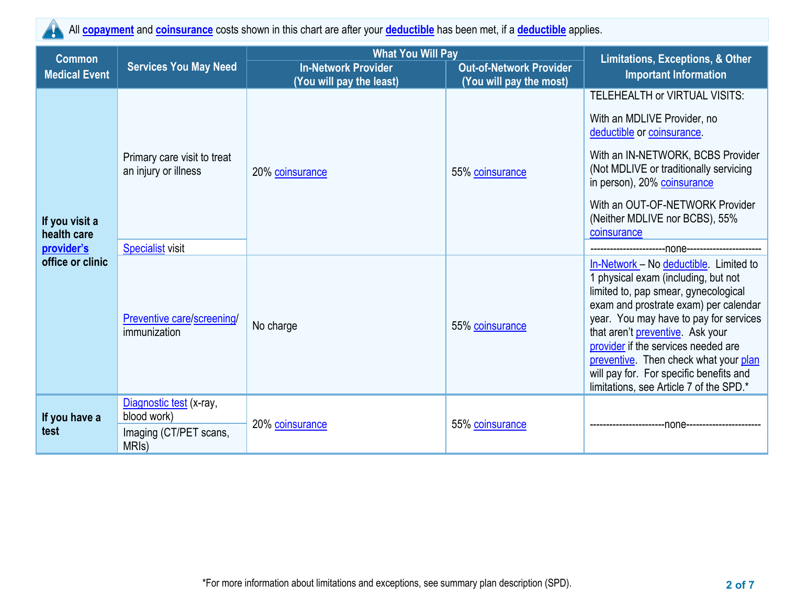

All **copayment** and **coinsurance** costs shown in this chart are after your **deductible** has been met, if a **deductible** applies.

| <b>Common</b>                 |                                                                                                                                                     | <b>What You Will Pay</b> | Limitations, Exceptions, & Other |                                                                                                                                                                                                                                                                                                                                                                                                                    |
|-------------------------------|-----------------------------------------------------------------------------------------------------------------------------------------------------|--------------------------|----------------------------------|--------------------------------------------------------------------------------------------------------------------------------------------------------------------------------------------------------------------------------------------------------------------------------------------------------------------------------------------------------------------------------------------------------------------|
| <b>Medical Event</b>          | <b>Services You May Need</b><br><b>In-Network Provider</b><br><b>Out-of-Network Provider</b><br>(You will pay the least)<br>(You will pay the most) |                          | <b>Important Information</b>     |                                                                                                                                                                                                                                                                                                                                                                                                                    |
|                               |                                                                                                                                                     |                          |                                  | TELEHEALTH or VIRTUAL VISITS:                                                                                                                                                                                                                                                                                                                                                                                      |
|                               | Primary care visit to treat<br>an injury or illness                                                                                                 | 20% coinsurance          |                                  | With an MDLIVE Provider, no<br>deductible or coinsurance.                                                                                                                                                                                                                                                                                                                                                          |
|                               |                                                                                                                                                     |                          | 55% coinsurance                  | With an IN-NETWORK, BCBS Provider<br>(Not MDLIVE or traditionally servicing<br>in person), 20% coinsurance                                                                                                                                                                                                                                                                                                         |
| If you visit a<br>health care |                                                                                                                                                     |                          |                                  | With an OUT-OF-NETWORK Provider<br>(Neither MDLIVE nor BCBS), 55%<br>coinsurance                                                                                                                                                                                                                                                                                                                                   |
| provider's                    | <b>Specialist visit</b>                                                                                                                             |                          |                                  |                                                                                                                                                                                                                                                                                                                                                                                                                    |
| office or clinic              | Preventive care/screening/<br>immunization                                                                                                          | No charge                | 55% coinsurance                  | In-Network - No deductible. Limited to<br>1 physical exam (including, but not<br>limited to, pap smear, gynecological<br>exam and prostrate exam) per calendar<br>year. You may have to pay for services<br>that aren't preventive. Ask your<br>provider if the services needed are<br>preventive. Then check what your plan<br>will pay for. For specific benefits and<br>limitations, see Article 7 of the SPD.* |
| If you have a                 | Diagnostic test (x-ray,<br>blood work)                                                                                                              |                          |                                  |                                                                                                                                                                                                                                                                                                                                                                                                                    |
| test                          | Imaging (CT/PET scans,<br>MRI <sub>s</sub> )                                                                                                        | 20% coinsurance          | 55% coinsurance                  | -none--                                                                                                                                                                                                                                                                                                                                                                                                            |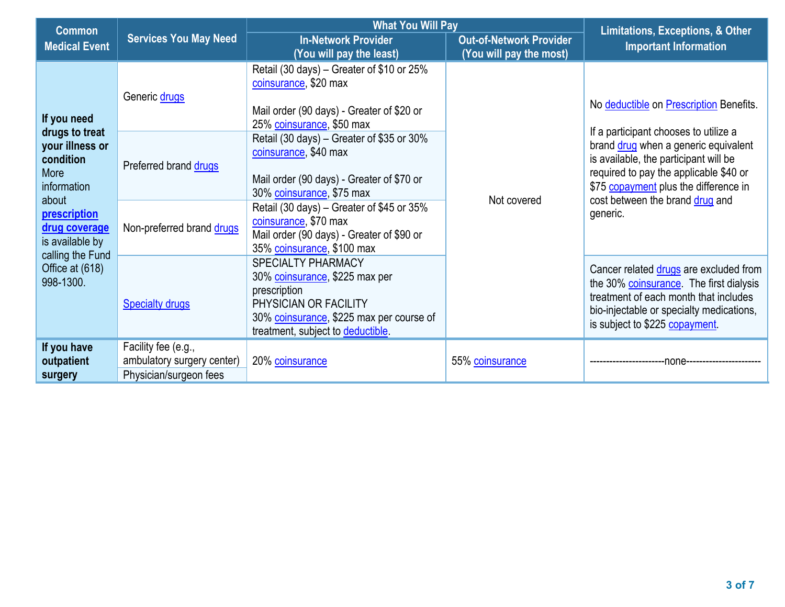| <b>Common</b>                                                                                                                                                                          |                                                                             | <b>What You Will Pay</b>                                                                                                                                                       | <b>Limitations, Exceptions, &amp; Other</b>               |                                                                                                                                                                                                                                                          |
|----------------------------------------------------------------------------------------------------------------------------------------------------------------------------------------|-----------------------------------------------------------------------------|--------------------------------------------------------------------------------------------------------------------------------------------------------------------------------|-----------------------------------------------------------|----------------------------------------------------------------------------------------------------------------------------------------------------------------------------------------------------------------------------------------------------------|
| <b>Medical Event</b>                                                                                                                                                                   | <b>Services You May Need</b>                                                | <b>In-Network Provider</b><br>(You will pay the least)                                                                                                                         | <b>Out-of-Network Provider</b><br>(You will pay the most) | <b>Important Information</b>                                                                                                                                                                                                                             |
| If you need                                                                                                                                                                            | Generic drugs                                                               | Retail (30 days) – Greater of \$10 or 25%<br>coinsurance, \$20 max<br>Mail order (90 days) - Greater of \$20 or<br>25% coinsurance, \$50 max                                   |                                                           | No deductible on Prescription Benefits.                                                                                                                                                                                                                  |
| drugs to treat<br>your illness or<br>condition<br>More<br>information<br>about<br>prescription<br>drug coverage<br>is available by<br>calling the Fund<br>Office at (618)<br>998-1300. | Preferred brand drugs                                                       | Retail (30 days) – Greater of \$35 or 30%<br>coinsurance, \$40 max<br>Mail order (90 days) - Greater of \$70 or<br>30% coinsurance, \$75 max                                   | Not covered                                               | If a participant chooses to utilize a<br>brand drug when a generic equivalent<br>is available, the participant will be<br>required to pay the applicable \$40 or<br>\$75 copayment plus the difference in<br>cost between the brand drug and<br>generic. |
|                                                                                                                                                                                        | Non-preferred brand drugs                                                   | Retail (30 days) – Greater of \$45 or 35%<br>coinsurance, \$70 max<br>Mail order (90 days) - Greater of \$90 or<br>35% coinsurance, \$100 max                                  |                                                           |                                                                                                                                                                                                                                                          |
|                                                                                                                                                                                        | <b>Specialty drugs</b>                                                      | SPECIALTY PHARMACY<br>30% coinsurance, \$225 max per<br>prescription<br>PHYSICIAN OR FACILITY<br>30% coinsurance, \$225 max per course of<br>treatment, subject to deductible. |                                                           | Cancer related drugs are excluded from<br>the 30% coinsurance. The first dialysis<br>treatment of each month that includes<br>bio-injectable or specialty medications,<br>is subject to \$225 copayment.                                                 |
| If you have<br>outpatient<br>surgery                                                                                                                                                   | Facility fee (e.g.,<br>ambulatory surgery center)<br>Physician/surgeon fees | 20% coinsurance                                                                                                                                                                | 55% coinsurance                                           | -none-                                                                                                                                                                                                                                                   |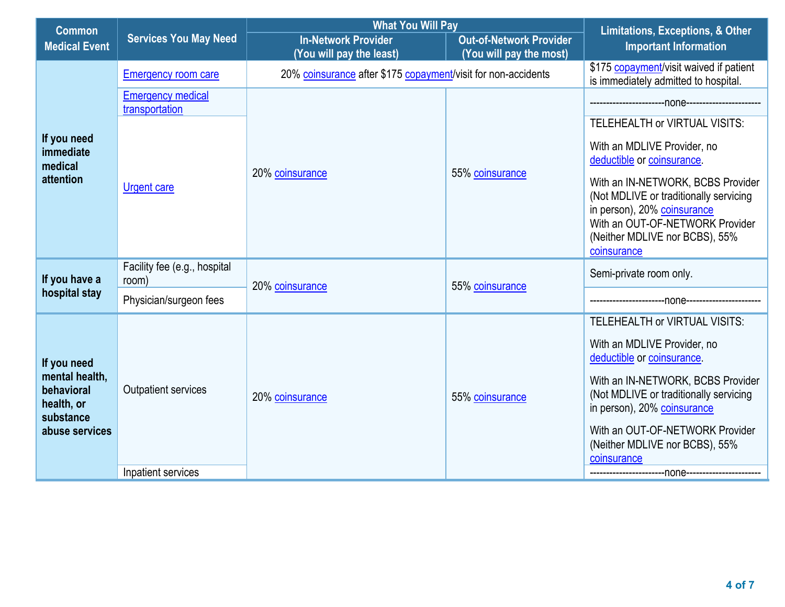| <b>Common</b>                                           |                                            | <b>What You Will Pay</b>                                                                                            |                 | <b>Limitations, Exceptions, &amp; Other</b>                                                                                                                                                    |
|---------------------------------------------------------|--------------------------------------------|---------------------------------------------------------------------------------------------------------------------|-----------------|------------------------------------------------------------------------------------------------------------------------------------------------------------------------------------------------|
| <b>Medical Event</b>                                    | <b>Services You May Need</b>               | <b>In-Network Provider</b><br><b>Out-of-Network Provider</b><br>(You will pay the most)<br>(You will pay the least) |                 | <b>Important Information</b>                                                                                                                                                                   |
|                                                         | <b>Emergency room care</b>                 | 20% coinsurance after \$175 copayment/visit for non-accidents                                                       |                 | \$175 copayment/visit waived if patient<br>is immediately admitted to hospital.                                                                                                                |
|                                                         | <b>Emergency medical</b><br>transportation |                                                                                                                     |                 |                                                                                                                                                                                                |
|                                                         |                                            |                                                                                                                     |                 | TELEHEALTH or VIRTUAL VISITS:                                                                                                                                                                  |
| If you need<br>immediate<br>medical                     |                                            |                                                                                                                     |                 | With an MDLIVE Provider, no<br>deductible or coinsurance.                                                                                                                                      |
| attention                                               | <b>Urgent care</b>                         | 20% coinsurance                                                                                                     | 55% coinsurance | With an IN-NETWORK, BCBS Provider<br>(Not MDLIVE or traditionally servicing<br>in person), 20% coinsurance<br>With an OUT-OF-NETWORK Provider<br>(Neither MDLIVE nor BCBS), 55%<br>coinsurance |
| If you have a                                           | Facility fee (e.g., hospital<br>room)      | 20% coinsurance                                                                                                     | 55% coinsurance | Semi-private room only.                                                                                                                                                                        |
| hospital stay                                           | Physician/surgeon fees                     |                                                                                                                     |                 |                                                                                                                                                                                                |
|                                                         |                                            |                                                                                                                     |                 | TELEHEALTH or VIRTUAL VISITS:                                                                                                                                                                  |
| If you need                                             |                                            |                                                                                                                     |                 | With an MDLIVE Provider, no<br>deductible or coinsurance.                                                                                                                                      |
| mental health,<br>behavioral<br>health, or<br>substance | <b>Outpatient services</b>                 | 20% coinsurance                                                                                                     | 55% coinsurance | With an IN-NETWORK, BCBS Provider<br>(Not MDLIVE or traditionally servicing<br>in person), 20% coinsurance                                                                                     |
| abuse services                                          |                                            |                                                                                                                     |                 | With an OUT-OF-NETWORK Provider<br>(Neither MDLIVE nor BCBS), 55%<br>coinsurance                                                                                                               |
|                                                         | Inpatient services                         |                                                                                                                     |                 |                                                                                                                                                                                                |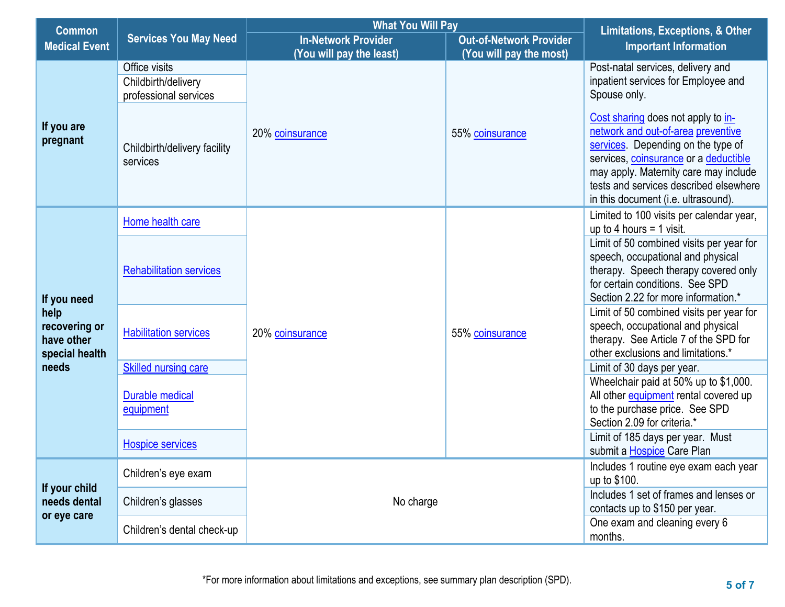| <b>Common</b>                                                        |                                                                                              | <b>What You Will Pay</b> | <b>Limitations, Exceptions, &amp; Other</b> |                                                                                                                                                                                                                                                                                   |
|----------------------------------------------------------------------|----------------------------------------------------------------------------------------------|--------------------------|---------------------------------------------|-----------------------------------------------------------------------------------------------------------------------------------------------------------------------------------------------------------------------------------------------------------------------------------|
| <b>Medical Event</b>                                                 | <b>Services You May Need</b><br><b>In-Network Provider</b><br><b>Out-of-Network Provider</b> |                          | <b>Important Information</b>                |                                                                                                                                                                                                                                                                                   |
|                                                                      |                                                                                              | (You will pay the least) | (You will pay the most)                     |                                                                                                                                                                                                                                                                                   |
|                                                                      | Office visits<br>Childbirth/delivery<br>professional services                                |                          |                                             | Post-natal services, delivery and<br>inpatient services for Employee and<br>Spouse only.                                                                                                                                                                                          |
| If you are<br>pregnant                                               | Childbirth/delivery facility<br>services                                                     | 20% coinsurance          | 55% coinsurance                             | Cost sharing does not apply to in-<br>network and out-of-area preventive<br>services. Depending on the type of<br>services, coinsurance or a deductible<br>may apply. Maternity care may include<br>tests and services described elsewhere<br>in this document (i.e. ultrasound). |
|                                                                      | Home health care                                                                             |                          |                                             | Limited to 100 visits per calendar year,<br>up to 4 hours $=$ 1 visit.                                                                                                                                                                                                            |
| If you need<br>help<br>recovering or<br>have other<br>special health | <b>Rehabilitation services</b>                                                               |                          |                                             | Limit of 50 combined visits per year for<br>speech, occupational and physical<br>therapy. Speech therapy covered only<br>for certain conditions. See SPD<br>Section 2.22 for more information.*                                                                                   |
|                                                                      | <b>Habilitation services</b>                                                                 | 20% coinsurance          | 55% coinsurance                             | Limit of 50 combined visits per year for<br>speech, occupational and physical<br>therapy. See Article 7 of the SPD for<br>other exclusions and limitations.*                                                                                                                      |
| needs                                                                | <b>Skilled nursing care</b>                                                                  |                          |                                             | Limit of 30 days per year.                                                                                                                                                                                                                                                        |
|                                                                      | <b>Durable medical</b><br>equipment                                                          |                          |                                             | Wheelchair paid at 50% up to \$1,000.<br>All other equipment rental covered up<br>to the purchase price. See SPD<br>Section 2.09 for criteria.*                                                                                                                                   |
|                                                                      | <b>Hospice services</b>                                                                      |                          |                                             | Limit of 185 days per year. Must<br>submit a Hospice Care Plan                                                                                                                                                                                                                    |
| If your child                                                        | Children's eye exam                                                                          |                          |                                             | Includes 1 routine eye exam each year<br>up to \$100.                                                                                                                                                                                                                             |
| needs dental<br>or eye care                                          | Children's glasses                                                                           | No charge                |                                             | Includes 1 set of frames and lenses or<br>contacts up to \$150 per year.                                                                                                                                                                                                          |
|                                                                      | Children's dental check-up                                                                   |                          |                                             | One exam and cleaning every 6<br>months.                                                                                                                                                                                                                                          |

**<sup>5</sup> of 7** \*For more information about limitations and exceptions, see summary plan description (SPD).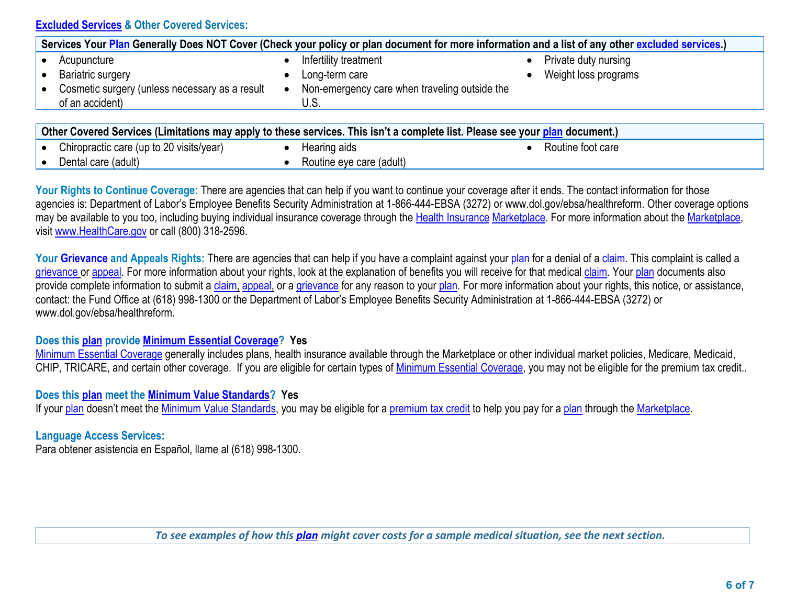# **Excluded Services & Other Covered Services:**

|                                                                                                                              | Services Your Plan Generally Does NOT Cover (Check your policy or plan document for more information and a list of any other excluded services.) |                      |
|------------------------------------------------------------------------------------------------------------------------------|--------------------------------------------------------------------------------------------------------------------------------------------------|----------------------|
| Acupuncture                                                                                                                  | Infertility treatment                                                                                                                            | Private duty nursing |
| Bariatric surgery                                                                                                            | Long-term care                                                                                                                                   | Weight loss programs |
| Cosmetic surgery (unless necessary as a result                                                                               | Non-emergency care when traveling outside the                                                                                                    |                      |
| of an accident)                                                                                                              | U.S.                                                                                                                                             |                      |
|                                                                                                                              |                                                                                                                                                  |                      |
| Other Covered Services (Limitations may apply to these services. This isn't a complete list. Please see your plan document.) |                                                                                                                                                  |                      |

| $\bullet$ | Chiropractic care (up to 20 visits/year) | tearıng aıds                  | ≺outine foot care |
|-----------|------------------------------------------|-------------------------------|-------------------|
|           | ⊃enta<br>(adult)<br>l care               | (adult)<br>care<br>™utine ev∈ |                   |
|           |                                          |                               |                   |

Your Rights to Continue Coverage: There are agencies that can help if you want to continue your coverage after it ends. The contact information for those agencies is: Department of Labor's Employee Benefits Security Administration at 1-866-444-EBSA (3272) or www.dol.gov/ebsa/healthreform. Other coverage options may be available to you too, including buying individual insurance coverage through the Health Insurance Marketplace. For more information about the Marketplace, visit www.HealthCare.gov or call (800) 318-2596.

Your **Grievance and Appeals Rights:** There are agencies that can help if you have a complaint against your plan for a denial of a claim. This complaint is called a grievance or appeal. For more information about your rights, look at the explanation of benefits you will receive for that medical claim. Your plan documents also provide complete information to submit a claim, appeal, or a grievance for any reason to your plan. For more information about your rights, this notice, or assistance, contact: the Fund Office at (618) 998-1300 or the Department of Labor's Employee Benefits Security Administration at 1-866-444-EBSA (3272) or www.dol.gov/ebsa/healthreform.

# **Does this plan provide Minimum Essential Coverage? Yes**

Minimum Essential Coverage generally includes plans, health insurance available through the Marketplace or other individual market policies, Medicare, Medicaid, CHIP, TRICARE, and certain other coverage. If you are eligible for certain types of Minimum Essential Coverage, you may not be eligible for the premium tax credit..

## **Does this plan meet the Minimum Value Standards? Yes**

If your plan doesn't meet the Minimum Value Standards, you may be eligible for a premium tax credit to help you pay for a plan through the Marketplace.

# **Language Access Services:**

Para obtener asistencia en Español, llame al (618) 998-1300.

*To see examples of how this plan might cover costs for a sample medical situation, see the next section.*